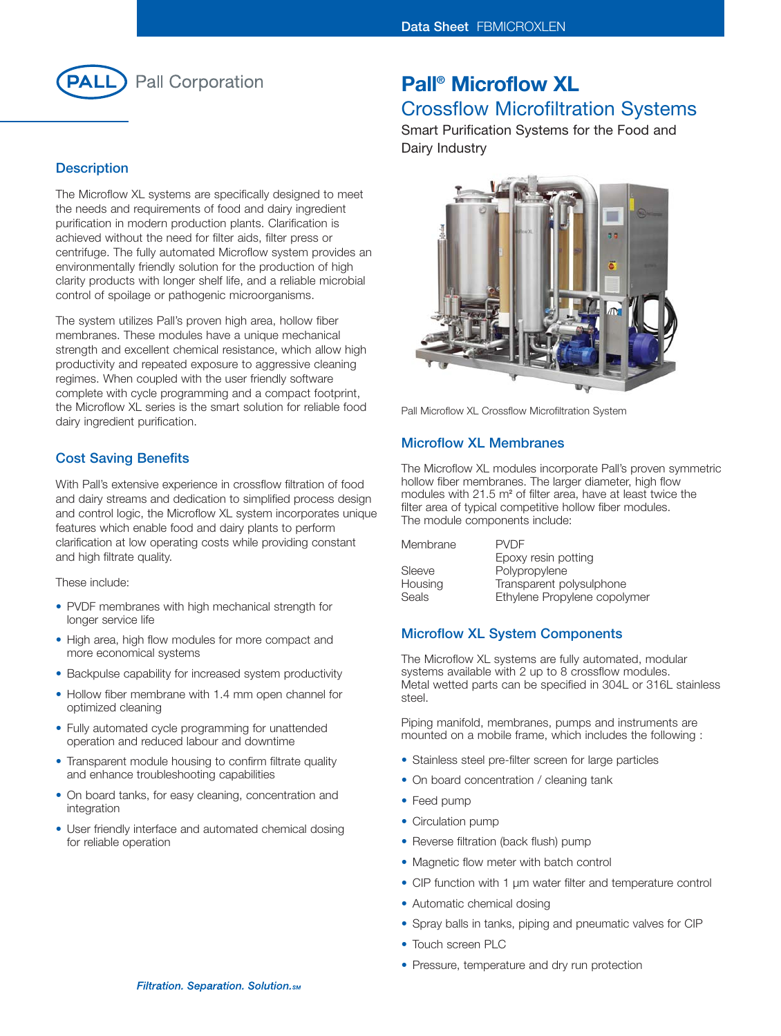

#### **Description**

The Microflow XL systems are specifically designed to meet the needs and requirements of food and dairy ingredient purification in modern production plants. Clarification is achieved without the need for filter aids, filter press or centrifuge. The fully automated Microflow system provides an environmentally friendly solution for the production of high clarity products with longer shelf life, and a reliable microbial control of spoilage or pathogenic microorganisms.

The system utilizes Pall's proven high area, hollow fiber membranes. These modules have a unique mechanical strength and excellent chemical resistance, which allow high productivity and repeated exposure to aggressive cleaning regimes. When coupled with the user friendly software complete with cycle programming and a compact footprint, the Microflow XL series is the smart solution for reliable food dairy ingredient purification.

#### **Cost Saving Benefits**

With Pall's extensive experience in crossflow filtration of food and dairy streams and dedication to simplified process design and control logic, the Microflow XL system incorporates unique features which enable food and dairy plants to perform clarification at low operating costs while providing constant and high filtrate quality.

These include:

- PVDF membranes with high mechanical strength for longer service life
- High area, high flow modules for more compact and more economical systems
- Backpulse capability for increased system productivity
- Hollow fiber membrane with 1.4 mm open channel for optimized cleaning
- Fully automated cycle programming for unattended operation and reduced labour and downtime
- Transparent module housing to confirm filtrate quality and enhance troubleshooting capabilities
- On board tanks, for easy cleaning, concentration and integration
- User friendly interface and automated chemical dosing for reliable operation

# **Pall® Microflow XL**

# Crossflow Microfiltration Systems

Smart Purification Systems for the Food and Dairy Industry



Pall Microflow XL Crossflow Microfiltration System

#### **Microflow XL Membranes**

The Microflow XL modules incorporate Pall's proven symmetric hollow fiber membranes. The larger diameter, high flow modules with 21.5 m**<sup>2</sup>** of filter area, have at least twice the filter area of typical competitive hollow fiber modules. The module components include:

| Membrane | <b>PVDF</b>                  |
|----------|------------------------------|
|          | Epoxy resin potting          |
| Sleeve   | Polypropylene                |
| Housing  | Transparent polysulphone     |
| Seals    | Ethylene Propylene copolymer |

### **Microflow XL System Components**

The Microflow XL systems are fully automated, modular systems available with 2 up to 8 crossflow modules. Metal wetted parts can be specified in 304L or 316L stainless steel.

Piping manifold, membranes, pumps and instruments are mounted on a mobile frame, which includes the following :

- Stainless steel pre-filter screen for large particles
- On board concentration / cleaning tank
- Feed pump
- Circulation pump
- Reverse filtration (back flush) pump
- Magnetic flow meter with batch control
- CIP function with 1 µm water filter and temperature control
- Automatic chemical dosing
- Spray balls in tanks, piping and pneumatic valves for CIP
- Touch screen PLC
- Pressure, temperature and dry run protection